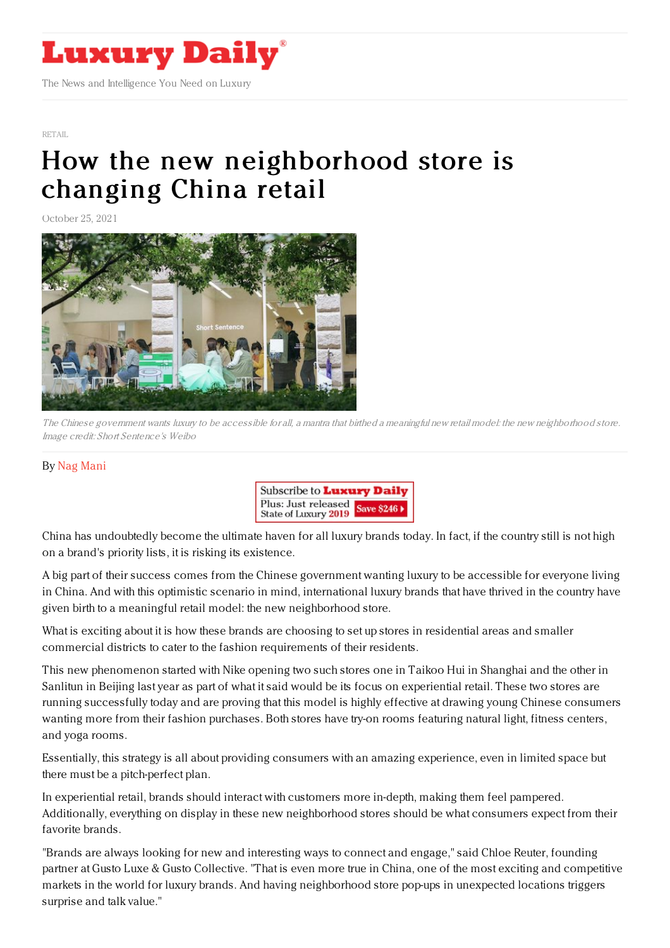

[RETAIL](https://www.luxurydaily.com/category/sectors/retail-industry-sectors/)

## How the new [neighborhood](https://www.luxurydaily.com/how-the-new-neighborhood-store-is-changing-china-retail/) store is changing China retail

October 25, 2021



The Chinese government wants luxury to be accessible for all, <sup>a</sup> mantra that birthed <sup>a</sup> meaningful new retail model: the new neighborhood store. Image credit: Short Sentence's Weibo

## By Nag [Mani](https://jingdaily.com/author/nagmani/)



China has undoubtedly become the ultimate haven for all luxury brands today. In fact, if the country still is not high on a brand's priority lists, it is risking its existence.

A big part of their success comes from the Chinese government wanting luxury to be accessible for everyone living in China. And with this optimistic scenario in mind, international luxury brands that have thrived in the country have given birth to a meaningful retail model: the new neighborhood store.

What is exciting about it is how these brands are choosing to set up stores in residential areas and smaller commercial districts to cater to the fashion requirements of their residents.

This new phenomenon started with Nike opening two such stores one in Taikoo Hui in Shanghai and the other in Sanlitun in Beijing last year as part of what it said would be its focus on experiential retail. These two stores are running successfully today and are proving that this model is highly effective at drawing young Chinese consumers wanting more from their fashion purchases. Both stores have try-on rooms featuring natural light, fitness centers, and yoga rooms.

Essentially, this strategy is all about providing consumers with an amazing experience, even in limited space but there must be a pitch-perfect plan.

In experiential retail, brands should interact with customers more in-depth, making them feel pampered. Additionally, everything on display in these new neighborhood stores should be what consumers expect from their favorite brands.

"Brands are always looking for new and interesting ways to connect and engage," said Chloe Reuter, founding partner at Gusto Luxe & Gusto Collective. "That is even more true in China, one of the most exciting and competitive markets in the world for luxury brands. And having neighborhood store pop-ups in unexpected locations triggers surprise and talk value."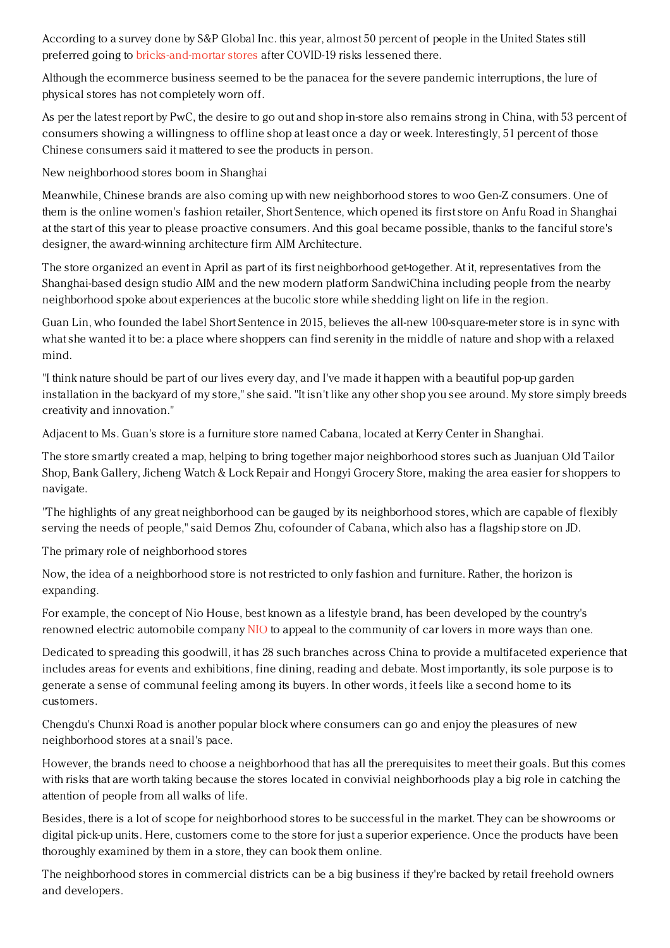According to a survey done by S&P Global Inc. this year, almost 50 percent of people in the United States still preferred going to [bricks-and-mortar](https://jingdaily.com/luxury-brick-and-mortar-chanel-puma/) stores after COVID-19 risks lessened there.

Although the ecommerce business seemed to be the panacea for the severe pandemic interruptions, the lure of physical stores has not completely worn off.

As per the latest report by PwC, the desire to go out and shop in-store also remains strong in China, with 53 percent of consumers showing a willingness to offline shop at least once a day or week. Interestingly, 51 percent of those Chinese consumers said it mattered to see the products in person.

New neighborhood stores boom in Shanghai

Meanwhile, Chinese brands are also coming up with new neighborhood stores to woo Gen-Z consumers. One of them is the online women's fashion retailer, Short Sentence, which opened its first store on Anfu Road in Shanghai at the start of this year to please proactive consumers. And this goal became possible, thanks to the fanciful store's designer, the award-winning architecture firm AIM Architecture.

The store organized an event in April as part of its first neighborhood get-together. At it, representatives from the Shanghai-based design studio AIM and the new modern platform SandwiChina including people from the nearby neighborhood spoke about experiences at the bucolic store while shedding light on life in the region.

Guan Lin, who founded the label Short Sentence in 2015, believes the all-new 100-square-meter store is in sync with what she wanted it to be: a place where shoppers can find serenity in the middle of nature and shop with a relaxed mind.

"I think nature should be part of our lives every day, and I've made it happen with a beautiful pop-up garden installation in the backyard of my store," she said. "It isn't like any other shop you see around. My store simply breeds creativity and innovation."

Adjacent to Ms. Guan's store is a furniture store named Cabana, located at Kerry Center in Shanghai.

The store smartly created a map, helping to bring together major neighborhood stores such as Juanjuan Old Tailor Shop, Bank Gallery, Jicheng Watch & Lock Repair and Hongyi Grocery Store, making the area easier for shoppers to navigate.

"The highlights of any great neighborhood can be gauged by its neighborhood stores, which are capable of flexibly serving the needs of people," said Demos Zhu, cofounder of Cabana, which also has a flagship store on JD.

The primary role of neighborhood stores

Now, the idea of a neighborhood store is not restricted to only fashion and furniture. Rather, the horizon is expanding.

For example, the concept of Nio House, best known as a lifestyle brand, has been developed by the country's renowned electric automobile company [NIO](https://jingdaily.com/tesla-china-luxury-status-nio-xiaopeng/) to appeal to the community of car lovers in more ways than one.

Dedicated to spreading this goodwill, it has 28 such branches across China to provide a multifaceted experience that includes areas for events and exhibitions, fine dining, reading and debate. Most importantly, its sole purpose is to generate a sense of communal feeling among its buyers. In other words, it feels like a second home to its customers.

Chengdu's Chunxi Road is another popular block where consumers can go and enjoy the pleasures of new neighborhood stores at a snail's pace.

However, the brands need to choose a neighborhood that has all the prerequisites to meet their goals. But this comes with risks that are worth taking because the stores located in convivial neighborhoods play a big role in catching the attention of people from all walks of life.

Besides, there is a lot of scope for neighborhood stores to be successful in the market. They can be showrooms or digital pick-up units. Here, customers come to the store for just a superior experience. Once the products have been thoroughly examined by them in a store, they can book them online.

The neighborhood stores in commercial districts can be a big business if they're backed by retail freehold owners and developers.